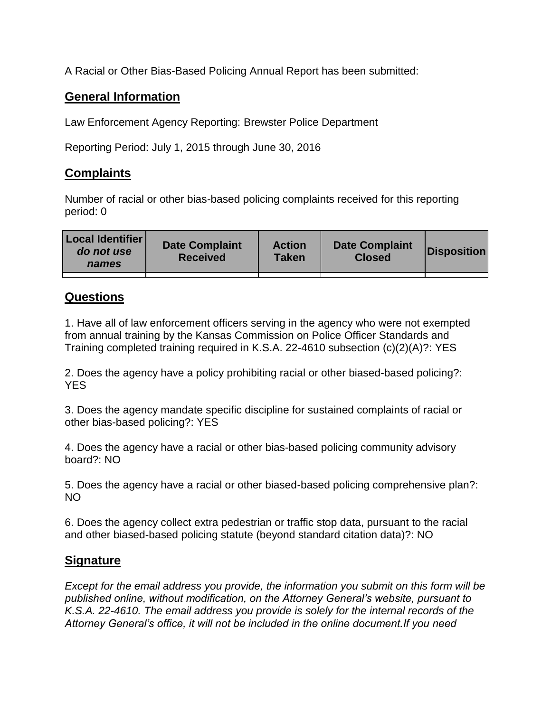A Racial or Other Bias-Based Policing Annual Report has been submitted:

## **General Information**

Law Enforcement Agency Reporting: Brewster Police Department

Reporting Period: July 1, 2015 through June 30, 2016

## **Complaints**

Number of racial or other bias-based policing complaints received for this reporting period: 0

| <b>Local Identifier</b><br>do not use<br>names | <b>Date Complaint</b><br><b>Received</b> | <b>Action</b><br><b>Taken</b> | <b>Date Complaint</b><br><b>Closed</b> | Disposition |
|------------------------------------------------|------------------------------------------|-------------------------------|----------------------------------------|-------------|
|                                                |                                          |                               |                                        |             |

## **Questions**

1. Have all of law enforcement officers serving in the agency who were not exempted from annual training by the Kansas Commission on Police Officer Standards and Training completed training required in K.S.A. 22-4610 subsection (c)(2)(A)?: YES

2. Does the agency have a policy prohibiting racial or other biased-based policing?: YES

3. Does the agency mandate specific discipline for sustained complaints of racial or other bias-based policing?: YES

4. Does the agency have a racial or other bias-based policing community advisory board?: NO

5. Does the agency have a racial or other biased-based policing comprehensive plan?: NO

6. Does the agency collect extra pedestrian or traffic stop data, pursuant to the racial and other biased-based policing statute (beyond standard citation data)?: NO

## **Signature**

*Except for the email address you provide, the information you submit on this form will be published online, without modification, on the Attorney General's website, pursuant to K.S.A. 22-4610. The email address you provide is solely for the internal records of the Attorney General's office, it will not be included in the online document.If you need*